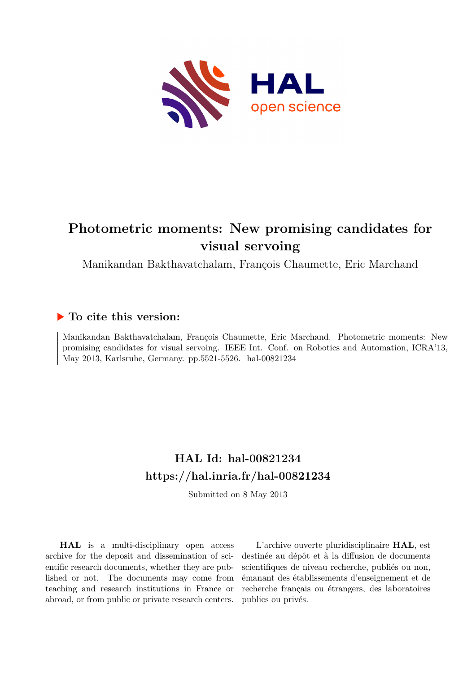

# **Photometric moments: New promising candidates for visual servoing**

Manikandan Bakthavatchalam, François Chaumette, Eric Marchand

# **To cite this version:**

Manikandan Bakthavatchalam, François Chaumette, Eric Marchand. Photometric moments: New promising candidates for visual servoing. IEEE Int. Conf. on Robotics and Automation, ICRA'13, May 2013, Karlsruhe, Germany. pp.5521-5526. hal-00821234

# **HAL Id: hal-00821234 <https://hal.inria.fr/hal-00821234>**

Submitted on 8 May 2013

**HAL** is a multi-disciplinary open access archive for the deposit and dissemination of scientific research documents, whether they are published or not. The documents may come from teaching and research institutions in France or abroad, or from public or private research centers.

L'archive ouverte pluridisciplinaire **HAL**, est destinée au dépôt et à la diffusion de documents scientifiques de niveau recherche, publiés ou non, émanant des établissements d'enseignement et de recherche français ou étrangers, des laboratoires publics ou privés.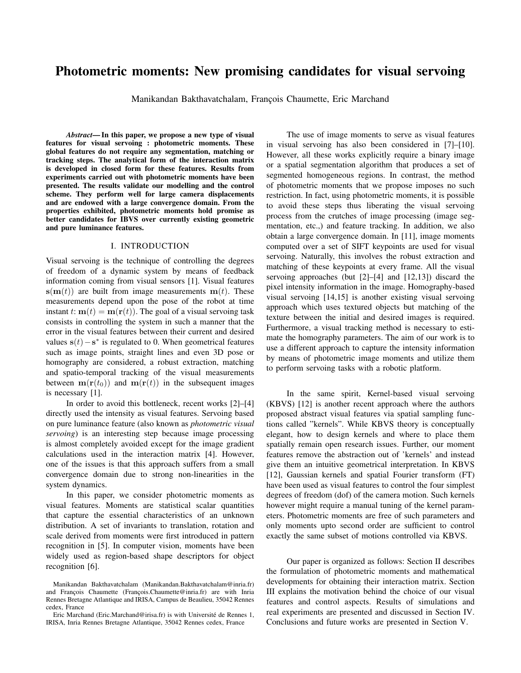# Photometric moments: New promising candidates for visual servoing

Manikandan Bakthavatchalam, François Chaumette, Eric Marchand

*Abstract*— In this paper, we propose a new type of visual features for visual servoing : photometric moments. These global features do not require any segmentation, matching or tracking steps. The analytical form of the interaction matrix is developed in closed form for these features. Results from experiments carried out with photometric moments have been presented. The results validate our modelling and the control scheme. They perform well for large camera displacements and are endowed with a large convergence domain. From the properties exhibited, photometric moments hold promise as better candidates for IBVS over currently existing geometric and pure luminance features.

#### I. INTRODUCTION

Visual servoing is the technique of controlling the degrees of freedom of a dynamic system by means of feedback information coming from visual sensors [1]. Visual features  $s(m(t))$  are built from image measurements  $m(t)$ . These measurements depend upon the pose of the robot at time instant t:  $\mathbf{m}(t) = \mathbf{m}(\mathbf{r}(t))$ . The goal of a visual servoing task consists in controlling the system in such a manner that the error in the visual features between their current and desired values  $\mathbf{s}(t) - \mathbf{s}^*$  is regulated to 0. When geometrical features such as image points, straight lines and even 3D pose or homography are considered, a robust extraction, matching and spatio-temporal tracking of the visual measurements between  $\mathbf{m}(\mathbf{r}(t_0))$  and  $\mathbf{m}(\mathbf{r}(t))$  in the subsequent images is necessary [1].

In order to avoid this bottleneck, recent works [2]–[4] directly used the intensity as visual features. Servoing based on pure luminance feature (also known as *photometric visual servoing*) is an interesting step because image processing is almost completely avoided except for the image gradient calculations used in the interaction matrix [4]. However, one of the issues is that this approach suffers from a small convergence domain due to strong non-linearities in the system dynamics.

In this paper, we consider photometric moments as visual features. Moments are statistical scalar quantities that capture the essential characteristics of an unknown distribution. A set of invariants to translation, rotation and scale derived from moments were first introduced in pattern recognition in [5]. In computer vision, moments have been widely used as region-based shape descriptors for object recognition [6].

The use of image moments to serve as visual features in visual servoing has also been considered in [7]–[10]. However, all these works explicitly require a binary image or a spatial segmentation algorithm that produces a set of segmented homogeneous regions. In contrast, the method of photometric moments that we propose imposes no such restriction. In fact, using photometric moments, it is possible to avoid these steps thus liberating the visual servoing process from the crutches of image processing (image segmentation, etc.,) and feature tracking. In addition, we also obtain a large convergence domain. In [11], image moments computed over a set of SIFT keypoints are used for visual servoing. Naturally, this involves the robust extraction and matching of these keypoints at every frame. All the visual servoing approaches (but [2]–[4] and [12,13]) discard the pixel intensity information in the image. Homography-based visual servoing [14,15] is another existing visual servoing approach which uses textured objects but matching of the texture between the initial and desired images is required. Furthermore, a visual tracking method is necessary to estimate the homography parameters. The aim of our work is to use a different approach to capture the intensity information by means of photometric image moments and utilize them to perform servoing tasks with a robotic platform.

In the same spirit, Kernel-based visual servoing (KBVS) [12] is another recent approach where the authors proposed abstract visual features via spatial sampling functions called "kernels". While KBVS theory is conceptually elegant, how to design kernels and where to place them spatially remain open research issues. Further, our moment features remove the abstraction out of 'kernels' and instead give them an intuitive geometrical interpretation. In KBVS [12], Gaussian kernels and spatial Fourier transform (FT) have been used as visual features to control the four simplest degrees of freedom (dof) of the camera motion. Such kernels however might require a manual tuning of the kernel parameters. Photometric moments are free of such parameters and only moments upto second order are sufficient to control exactly the same subset of motions controlled via KBVS.

Our paper is organized as follows: Section II describes the formulation of photometric moments and mathematical developments for obtaining their interaction matrix. Section III explains the motivation behind the choice of our visual features and control aspects. Results of simulations and real experiments are presented and discussed in Section IV. Conclusions and future works are presented in Section V.

Manikandan Bakthavatchalam (Manikandan.Bakthavatchalam@inria.fr) and François Chaumette (François.Chaumette@inria.fr) are with Inria Rennes Bretagne Atlantique and IRISA, Campus de Beaulieu, 35042 Rennes cedex, France

Eric Marchand (Eric.Marchand@irisa.fr) is with Université de Rennes 1, IRISA, Inria Rennes Bretagne Atlantique, 35042 Rennes cedex, France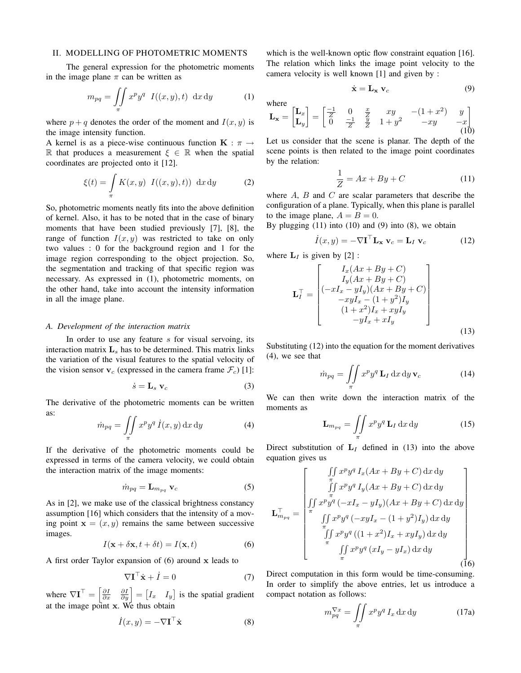#### II. MODELLING OF PHOTOMETRIC MOMENTS

The general expression for the photometric moments in the image plane  $\pi$  can be written as

$$
m_{pq} = \iint\limits_{\pi} x^p y^q \ I((x, y), t) \ \mathrm{d}x \, \mathrm{d}y \tag{1}
$$

where  $p + q$  denotes the order of the moment and  $I(x, y)$  is the image intensity function.

A kernel is as a piece-wise continuous function  $\mathbf{K} : \pi \to$ R that produces a measurement  $\xi \in \mathbb{R}$  when the spatial coordinates are projected onto it [12].

$$
\xi(t) = \int\limits_{\pi} K(x, y) \ I((x, y), t) \, dx \, dy \tag{2}
$$

So, photometric moments neatly fits into the above definition of kernel. Also, it has to be noted that in the case of binary moments that have been studied previously [7], [8], the range of function  $I(x, y)$  was restricted to take on only two values : 0 for the background region and 1 for the image region corresponding to the object projection. So, the segmentation and tracking of that specific region was necessary. As expressed in (1), photometric moments, on the other hand, take into account the intensity information in all the image plane.

#### *A. Development of the interaction matrix*

In order to use any feature  $s$  for visual servoing, its interaction matrix  $L<sub>s</sub>$  has to be determined. This matrix links the variation of the visual features to the spatial velocity of the vision sensor  $v_c$  (expressed in the camera frame  $\mathcal{F}_c$ ) [1]:

$$
\dot{s} = \mathbf{L}_s \ \mathbf{v}_c \tag{3}
$$

The derivative of the photometric moments can be written as:

$$
\dot{m}_{pq} = \iint\limits_{\pi} x^p y^q \, \dot{I}(x, y) \, \mathrm{d}x \, \mathrm{d}y \tag{4}
$$

If the derivative of the photometric moments could be expressed in terms of the camera velocity, we could obtain the interaction matrix of the image moments:

$$
\dot{m}_{pq} = \mathbf{L}_{m_{pq}} \mathbf{v}_c \tag{5}
$$

As in [2], we make use of the classical brightness constancy assumption [16] which considers that the intensity of a moving point  $\mathbf{x} = (x, y)$  remains the same between successive images.

$$
I(\mathbf{x} + \delta \mathbf{x}, t + \delta t) = I(\mathbf{x}, t)
$$
 (6)

A first order Taylor expansion of  $(6)$  around x leads to

$$
\nabla \mathbf{I}^{\top} \dot{\mathbf{x}} + \dot{I} = 0 \tag{7}
$$

where  $\nabla \mathbf{I}^{\top} = \begin{bmatrix} \frac{\partial I}{\partial x} & \frac{\partial I}{\partial y} \end{bmatrix} = \begin{bmatrix} I_x & I_y \end{bmatrix}$  is the spatial gradient at the image point x. We thus obtain

$$
\dot{I}(x,y) = -\nabla \mathbf{I}^{\top} \dot{\mathbf{x}} \tag{8}
$$

which is the well-known optic flow constraint equation [16]. The relation which links the image point velocity to the camera velocity is well known [1] and given by :

$$
\dot{\mathbf{x}} = \mathbf{L}_{\mathbf{x}} \mathbf{v}_c \tag{9}
$$

where  
\n
$$
\mathbf{L}_{\mathbf{x}} = \begin{bmatrix} \mathbf{L}_x \\ \mathbf{L}_y \end{bmatrix} = \begin{bmatrix} \frac{-1}{Z} & 0 & \frac{x}{Z} & xy & -(1+x^2) & y \\ 0 & \frac{-1}{Z} & \frac{y}{Z} & 1+y^2 & -xy & -x \end{bmatrix}
$$
\n(10)

Let us consider that the scene is planar. The depth of the scene points is then related to the image point coordinates by the relation:

$$
\frac{1}{Z} = Ax + By + C \tag{11}
$$

where  $A$ ,  $B$  and  $C$  are scalar parameters that describe the configuration of a plane. Typically, when this plane is parallel to the image plane,  $A = B = 0$ .

By plugging  $(11)$  into  $(10)$  and  $(9)$  into  $(8)$ , we obtain

$$
\dot{I}(x,y) = -\nabla \mathbf{I}^{\top} \mathbf{L}_{\mathbf{x}} \mathbf{v}_c = \mathbf{L}_I \mathbf{v}_c \tag{12}
$$

where  $L_I$  is given by [2] :

$$
\mathbf{L}_{I}^{\top} = \begin{bmatrix} I_x(Ax + By + C) \\ I_y(Ax + By + C) \\ (-xI_x - yI_y)(Ax + By + C) \\ -xyI_x - (1 + y^2)I_y \\ (1 + x^2)I_x + xyI_y \\ -yI_x + xI_y \end{bmatrix}
$$
(13)

Substituting (12) into the equation for the moment derivatives (4), we see that

$$
\dot{m}_{pq} = \iint\limits_{\pi} x^p y^q \mathbf{L}_I \, dx \, dy \, \mathbf{v}_c \tag{14}
$$

We can then write down the interaction matrix of the moments as

$$
\mathbf{L}_{m_{pq}} = \iint\limits_{\pi} x^p y^q \, \mathbf{L}_I \, \mathrm{d}x \, \mathrm{d}y \tag{15}
$$

Direct substitution of  $L<sub>I</sub>$  defined in (13) into the above equation gives us

$$
\mathbf{L}_{m_{pq}}^{\top} = \begin{bmatrix} \iint x^{p} y^{q} I_{x}(Ax + By + C) dx dy \\ \iint x^{p} y^{q} I_{y}(Ax + By + C) dx dy \\ \iint x^{p} y^{q} (-xI_{x} - yI_{y})(Ax + By + C) dx dy \\ \iint x^{p} y^{q} (-xyI_{x} - (1 + y^{2})I_{y}) dx dy \\ \iint x^{p} y^{q} ((1 + x^{2})I_{x} + xyI_{y}) dx dy \\ \iint x^{p} y^{q} (xI_{y} - yI_{x}) dx dy \end{bmatrix}
$$
\n(16)

Direct computation in this form would be time-consuming. In order to simplify the above entries, let us introduce a compact notation as follows:

$$
m_{pq}^{\nabla x} = \iint\limits_{\pi} x^p y^q I_x \, dx \, dy \tag{17a}
$$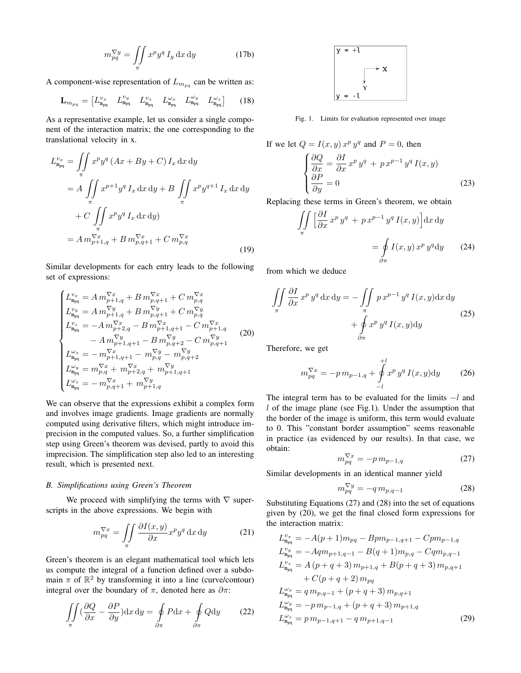$$
m_{pq}^{\nabla y} = \iint\limits_{\pi} x^p y^q I_y \, \mathrm{d}x \, \mathrm{d}y \tag{17b}
$$

A component-wise representation of  $L_{m_{pq}}$  can be written as:

$$
\mathbf{L}_{m_{pq}} = \begin{bmatrix} L_{m_{pq}}^{v_x} & L_{m_{pq}}^{v_y} & L_{m_{pq}}^{v_z} & L_{m_{pq}}^{\omega_x} & L_{m_{pq}}^{\omega_y} & L_{m_{pq}}^{\omega_z} \end{bmatrix} \tag{18}
$$

As a representative example, let us consider a single component of the interaction matrix; the one corresponding to the translational velocity in x.

$$
L_{\mathbf{m}_{pq}}^{v_x} = \iint_{\pi} x^p y^q (Ax + By + C) I_x \, dx \, dy
$$
  
=  $A \iint_{\pi} x^{p+1} y^q I_x \, dx \, dy + B \iint_{\pi} x^p y^{q+1} I_x \, dx \, dy$   
+  $C \iint_{\pi} x^p y^q I_x \, dx \, dy$   
=  $A \, m_{p+1,q}^{\nabla x} + B \, m_{p,q+1}^{\nabla x} + C \, m_{p,q}^{\nabla x}$  (19)

Similar developments for each entry leads to the following set of expressions:

$$
\begin{cases}\nL_{\mathbf{m}_{pq}}^{v_x} = A \, m_{p+1,q}^{\nabla x} + B \, m_{p,q+1}^{\nabla x} + C \, m_{p,q}^{\nabla x} \\
L_{\mathbf{m}_{pq}}^{v_y} = A \, m_{p+1,q}^{\nabla y} + B \, m_{p,q+1}^{\nabla y} + C \, m_{p,q}^{\nabla y} \\
L_{\mathbf{m}_{pq}}^{v_z} = -A \, m_{p+2,q}^{\nabla x} - B \, m_{p+1,q+1}^{\nabla x} - C \, m_{p+1,q}^{\nabla x} \\
\phantom{\mathbf{m}_{pq}} = -A \, m_{p+1,q+1}^{\nabla y} - B \, m_{p,q+2}^{\nabla y} - C \, m_{p,q+1}^{\nabla y} \\
L_{\mathbf{m}_{pq}}^{\omega_x} = -m_{p+1,q+1}^{\nabla x} - m_{p,q}^{\nabla y} - m_{p,q+2}^{\nabla y} \\
L_{\mathbf{m}_{pq}}^{\omega_y} = m_{p,q}^{\nabla x} + m_{p+2,q}^{\nabla x} + m_{p+1,q+1}^{\nabla y} \\
L_{\mathbf{m}_{pq}}^{\omega_z} = -m_{p,q+1}^{\nabla x} + m_{p+1,q}^{\nabla y}\n\end{cases} \tag{20}
$$

We can observe that the expressions exhibit a complex form and involves image gradients. Image gradients are normally computed using derivative filters, which might introduce imprecision in the computed values. So, a further simplification step using Green's theorem was devised, partly to avoid this imprecision. The simplification step also led to an interesting result, which is presented next.

### *B. Simplifications using Green's Theorem*

We proceed with simplifying the terms with  $\nabla$  superscripts in the above expressions. We begin with

$$
m_{pq}^{\nabla x} = \iint\limits_{\pi} \frac{\partial I(x, y)}{\partial x} x^p y^q \, \mathrm{d}x \, \mathrm{d}y \tag{21}
$$

Green's theorem is an elegant mathematical tool which lets us compute the integral of a function defined over a subdomain  $\pi$  of  $\mathbb{R}^2$  by transforming it into a line (curve/contour) integral over the boundary of  $\pi$ , denoted here as  $\partial \pi$ :

$$
\iint_{\pi} \left(\frac{\partial Q}{\partial x} - \frac{\partial P}{\partial y}\right) dx dy = \oint_{\partial \pi} P dx + \oint_{\partial \pi} Q dy \qquad (22)
$$



Fig. 1. Limits for evaluation represented over image

If we let 
$$
Q = I(x, y) x^p y^q
$$
 and  $P = 0$ , then  
\n
$$
\begin{cases}\n\frac{\partial Q}{\partial x} = \frac{\partial I}{\partial x} x^p y^q + p x^{p-1} y^q I(x, y) \\
\frac{\partial P}{\partial y} = 0\n\end{cases}
$$
\n(23)

Replacing these terms in Green's theorem, we obtain

$$
\iint_{\pi} \left[ \frac{\partial I}{\partial x} x^p y^q + p x^{p-1} y^q I(x, y) \right] dx dy
$$

$$
= \oint_{\partial \pi} I(x, y) x^p y^q dy \qquad (24)
$$

from which we deduce

$$
\iint\limits_{\pi} \frac{\partial I}{\partial x} x^p y^q dx dy = -\iint\limits_{\pi} p x^{p-1} y^q I(x, y) dx dy + \oint\limits_{\partial \pi} x^p y^q I(x, y) dy
$$
\n(25)

Therefore, we get

$$
m_{pq}^{\nabla x} = -p \, m_{p-1,q} + \oint_{-l}^{+l} x^p \, y^q \, I(x,y) \mathrm{d}y \tag{26}
$$

The integral term has to be evaluated for the limits  $-l$  and  $l$  of the image plane (see Fig.1). Under the assumption that the border of the image is uniform, this term would evaluate to 0. This "constant border assumption" seems reasonable in practice (as evidenced by our results). In that case, we obtain:

$$
m_{pq}^{\nabla x} = -p m_{p-1,q} \tag{27}
$$

Similar developments in an identical manner yield

$$
m_{pq}^{\nabla y} = -q m_{p,q-1} \tag{28}
$$

Substituting Equations (27) and (28) into the set of equations given by (20), we get the final closed form expressions for the interaction matrix:

$$
L_{\mathbf{m}_{pq}}^{v_x} = -A(p+1)m_{pq} - Bpm_{p-1,q+1} - Cpm_{p-1,q}
$$
  
\n
$$
L_{\mathbf{m}_{pq}}^{v_y} = -Aqm_{p+1,q-1} - B(q+1)m_{p,q} - Cqm_{p,q-1}
$$
  
\n
$$
L_{\mathbf{m}_{pq}}^{v_z} = A(p+q+3)m_{p+1,q} + B(p+q+3)m_{p,q+1}
$$
  
\n
$$
+ C(p+q+2)m_{pq}
$$
  
\n
$$
L_{\mathbf{m}_{pq}}^{w_x} = q m_{p,q-1} + (p+q+3)m_{p,q+1}
$$
  
\n
$$
L_{\mathbf{m}_{pq}}^{w_y} = -p m_{p-1,q} + (p+q+3)m_{p+1,q}
$$
  
\n
$$
L_{\mathbf{m}_{pq}}^{w_z} = p m_{p-1,q+1} - q m_{p+1,q-1}
$$
\n(29)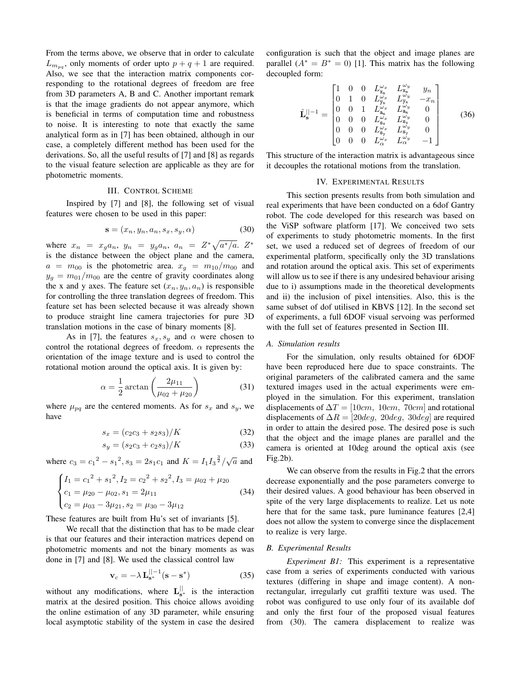From the terms above, we observe that in order to calculate  $L_{m_{pq}}$ , only moments of order upto  $p+q+1$  are required. Also, we see that the interaction matrix components corresponding to the rotational degrees of freedom are free from 3D parameters A, B and C. Another important remark is that the image gradients do not appear anymore, which is beneficial in terms of computation time and robustness to noise. It is interesting to note that exactly the same analytical form as in [7] has been obtained, although in our case, a completely different method has been used for the derivations. So, all the useful results of [7] and [8] as regards to the visual feature selection are applicable as they are for photometric moments.

## III. CONTROL SCHEME

Inspired by [7] and [8], the following set of visual features were chosen to be used in this paper:

$$
\mathbf{s} = (x_n, y_n, a_n, s_x, s_y, \alpha) \tag{30}
$$

where  $x_n = x_g a_n$ ,  $y_n = y_g a_n$ ,  $a_n = Z^* \sqrt{a^* / a}$ .  $Z^*$ is the distance between the object plane and the camera,  $a = m_{00}$  is the photometric area.  $x_q = m_{10}/m_{00}$  and  $y_g = m_{01}/m_{00}$  are the centre of gravity coordinates along the x and y axes. The feature set  $(x_n, y_n, a_n)$  is responsible for controlling the three translation degrees of freedom. This feature set has been selected because it was already shown to produce straight line camera trajectories for pure 3D translation motions in the case of binary moments [8].

As in [7], the features  $s_x, s_y$  and  $\alpha$  were chosen to control the rotational degrees of freedom.  $\alpha$  represents the orientation of the image texture and is used to control the rotational motion around the optical axis. It is given by:

$$
\alpha = \frac{1}{2} \arctan\left(\frac{2\mu_{11}}{\mu_{02} + \mu_{20}}\right)
$$
 (31)

where  $\mu_{pq}$  are the centered moments. As for  $s_x$  and  $s_y$ , we have

$$
s_x = (c_2c_3 + s_2s_3)/K\tag{32}
$$

$$
s_y = (s_2c_3 + c_2s_3)/K\tag{33}
$$

where  $c_3 = c_1^2 - s_1^2$ ,  $s_3 = 2s_1c_1$  and  $K = I_1I_3^{\frac{3}{2}}/\sqrt{a}$  and

$$
\begin{cases}\nI_1 = c_1^2 + s_1^2, I_2 = c_2^2 + s_2^2, I_3 = \mu_{02} + \mu_{20} \\
c_1 = \mu_{20} - \mu_{02}, s_1 = 2\mu_{11} \\
c_2 = \mu_{03} - 3\mu_{21}, s_2 = \mu_{30} - 3\mu_{12}\n\end{cases}
$$
\n(34)

These features are built from Hu's set of invariants [5].

We recall that the distinction that has to be made clear is that our features and their interaction matrices depend on photometric moments and not the binary moments as was done in [7] and [8]. We used the classical control law

$$
\mathbf{v}_c = -\lambda \mathbf{L}_{\mathbf{s}^*}^{\parallel -1} (\mathbf{s} - \mathbf{s}^*)
$$
 (35)

without any modifications, where  $L_{s^*}^{\vert\vert}$  is the interaction matrix at the desired position. This choice allows avoiding the online estimation of any 3D parameter, while ensuring local asymptotic stability of the system in case the desired configuration is such that the object and image planes are parallel  $(A^* = B^* = 0)$  [1]. This matrix has the following decoupled form:

$$
\hat{\mathbf{L}}_{\mathbf{s}}^{||-1} = \begin{bmatrix}\n1 & 0 & 0 & L_{\mathbf{x}_n}^{\omega_x} & L_{\mathbf{x}_n}^{\omega_y} & y_n \\
0 & 1 & 0 & L_{\mathbf{y}_n}^{\omega_x} & L_{\mathbf{y}_n}^{\omega_y} & -x_n \\
0 & 0 & 1 & L_{\mathbf{a}_n}^{\omega_x} & L_{\mathbf{a}_n}^{\omega_y} & 0 \\
0 & 0 & 0 & L_{\mathbf{s}_x}^{\omega_x} & L_{\mathbf{s}_x}^{\omega_y} & 0 \\
0 & 0 & 0 & L_{\mathbf{s}_y}^{\omega_x} & L_{\mathbf{s}_y}^{\omega_y} & 0 \\
0 & 0 & 0 & L_{\alpha}^{\omega_x} & L_{\alpha}^{\omega_y} & -1\n\end{bmatrix}
$$
\n(36)

This structure of the interaction matrix is advantageous since it decouples the rotational motions from the translation.

## IV. EXPERIMENTAL RESULTS

This section presents results from both simulation and real experiments that have been conducted on a 6dof Gantry robot. The code developed for this research was based on the ViSP software platform [17]. We conceived two sets of experiments to study photometric moments. In the first set, we used a reduced set of degrees of freedom of our experimental platform, specifically only the 3D translations and rotation around the optical axis. This set of experiments will allow us to see if there is any undesired behaviour arising due to i) assumptions made in the theoretical developments and ii) the inclusion of pixel intensities. Also, this is the same subset of dof utilised in KBVS [12]. In the second set of experiments, a full 6DOF visual servoing was performed with the full set of features presented in Section III.

### *A. Simulation results*

For the simulation, only results obtained for 6DOF have been reproduced here due to space constraints. The original parameters of the calibrated camera and the same textured images used in the actual experiments were employed in the simulation. For this experiment, translation displacements of  $\Delta T = [10cm, 10cm, 70cm]$  and rotational displacements of  $\Delta R = [20deg, 20deg, 30deg]$  are required in order to attain the desired pose. The desired pose is such that the object and the image planes are parallel and the camera is oriented at 10deg around the optical axis (see  $Fig.2b$ ).

We can observe from the results in Fig.2 that the errors decrease exponentially and the pose parameters converge to their desired values. A good behaviour has been observed in spite of the very large displacements to realize. Let us note here that for the same task, pure luminance features [2,4] does not allow the system to converge since the displacement to realize is very large.

#### *B. Experimental Results*

*Experiment B1:* This experiment is a representative case from a series of experiments conducted with various textures (differing in shape and image content). A nonrectangular, irregularly cut graffiti texture was used. The robot was configured to use only four of its available dof and only the first four of the proposed visual features from (30). The camera displacement to realize was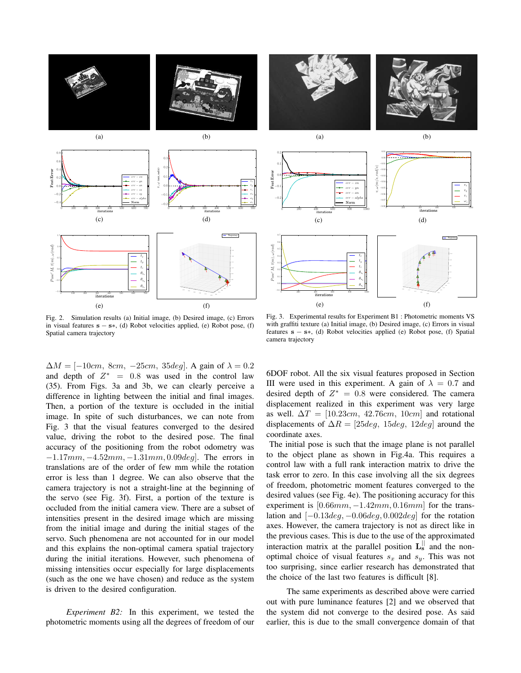



Fig. 2. Simulation results (a) Initial image, (b) Desired image, (c) Errors in visual features  $s - s$ , (d) Robot velocities applied, (e) Robot pose, (f) Spatial camera trajectory

Fig. 3. Experimental results for Experiment B1 : Photometric moments VS with graffiti texture (a) Initial image, (b) Desired image, (c) Errors in visual features s − s∗, (d) Robot velocities applied (e) Robot pose, (f) Spatial camera trajectory

 $\Delta M = [-10cm, 8cm, -25cm, 35deg]$ . A gain of  $\lambda = 0.2$ and depth of  $Z^* = 0.8$  was used in the control law (35). From Figs. 3a and 3b, we can clearly perceive a difference in lighting between the initial and final images. Then, a portion of the texture is occluded in the initial image. In spite of such disturbances, we can note from Fig. 3 that the visual features converged to the desired value, driving the robot to the desired pose. The final accuracy of the positioning from the robot odometry was  $-1.17mm$ ,  $-4.52mm$ ,  $-1.31mm$ ,  $0.09deg$ ]. The errors in translations are of the order of few mm while the rotation error is less than 1 degree. We can also observe that the camera trajectory is not a straight-line at the beginning of the servo (see Fig. 3f). First, a portion of the texture is occluded from the initial camera view. There are a subset of intensities present in the desired image which are missing from the initial image and during the initial stages of the servo. Such phenomena are not accounted for in our model and this explains the non-optimal camera spatial trajectory during the initial iterations. However, such phenomena of missing intensities occur especially for large displacements (such as the one we have chosen) and reduce as the system is driven to the desired configuration.

*Experiment B2:* In this experiment, we tested the photometric moments using all the degrees of freedom of our 6DOF robot. All the six visual features proposed in Section III were used in this experiment. A gain of  $\lambda = 0.7$  and desired depth of  $Z^* = 0.8$  were considered. The camera displacement realized in this experiment was very large as well.  $\Delta T = [10.23cm, 42.76cm, 10cm]$  and rotational displacements of  $\Delta R = [25deg, 15deg, 12deg]$  around the coordinate axes.

The initial pose is such that the image plane is not parallel to the object plane as shown in Fig.4a. This requires a control law with a full rank interaction matrix to drive the task error to zero. In this case involving all the six degrees of freedom, photometric moment features converged to the desired values (see Fig. 4e). The positioning accuracy for this experiment is  $[0.66mm, -1.42mm, 0.16mm]$  for the translation and  $[-0.13deg, -0.06deg, 0.002deg]$  for the rotation axes. However, the camera trajectory is not as direct like in the previous cases. This is due to the use of the approximated interaction matrix at the parallel position  $\mathbf{L}^{\parallel}$  and the nonoptimal choice of visual features  $s_x$  and  $s_y$ . This was not too surprising, since earlier research has demonstrated that the choice of the last two features is difficult [8].

The same experiments as described above were carried out with pure luminance features [2] and we observed that the system did not converge to the desired pose. As said earlier, this is due to the small convergence domain of that